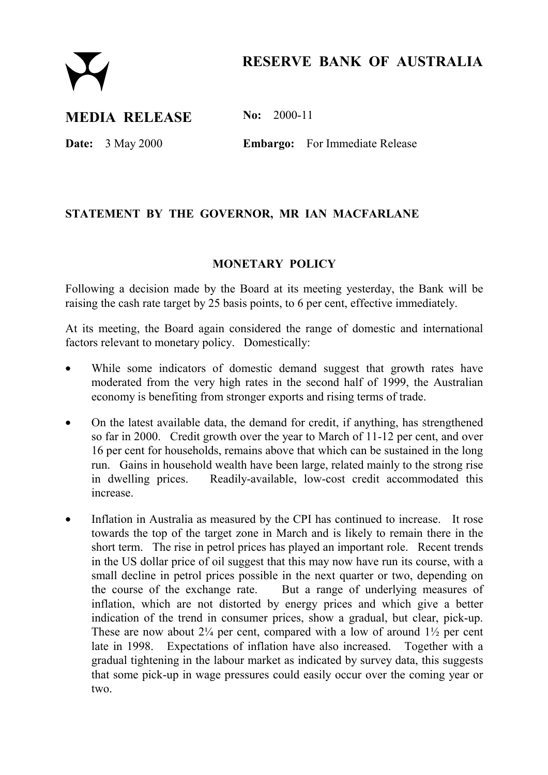# **RESERVE BANK OF AUSTRALIA**

## **MEDIA RELEASE No: 2000-11**

**Date:** 3 May 2000 **Embargo:** For Immediate Release

### **STATEMENT BY THE GOVERNOR, MR IAN MACFARLANE**

#### **MONETARY POLICY**

Following a decision made by the Board at its meeting yesterday, the Bank will be raising the cash rate target by 25 basis points, to 6 per cent, effective immediately.

At its meeting, the Board again considered the range of domestic and international factors relevant to monetary policy. Domestically:

- While some indicators of domestic demand suggest that growth rates have moderated from the very high rates in the second half of 1999, the Australian economy is benefiting from stronger exports and rising terms of trade.
- On the latest available data, the demand for credit, if anything, has strengthened so far in 2000. Credit growth over the year to March of 11-12 per cent, and over 16 per cent for households, remains above that which can be sustained in the long run. Gains in household wealth have been large, related mainly to the strong rise in dwelling prices. Readily-available, low-cost credit accommodated this increase.
- Inflation in Australia as measured by the CPI has continued to increase. It rose towards the top of the target zone in March and is likely to remain there in the short term. The rise in petrol prices has played an important role. Recent trends in the US dollar price of oil suggest that this may now have run its course, with a small decline in petrol prices possible in the next quarter or two, depending on the course of the exchange rate. But a range of underlying measures of inflation, which are not distorted by energy prices and which give a better indication of the trend in consumer prices, show a gradual, but clear, pick-up. These are now about  $2\frac{1}{4}$  per cent, compared with a low of around  $1\frac{1}{2}$  per cent late in 1998. Expectations of inflation have also increased. Together with a gradual tightening in the labour market as indicated by survey data, this suggests that some pick-up in wage pressures could easily occur over the coming year or two.